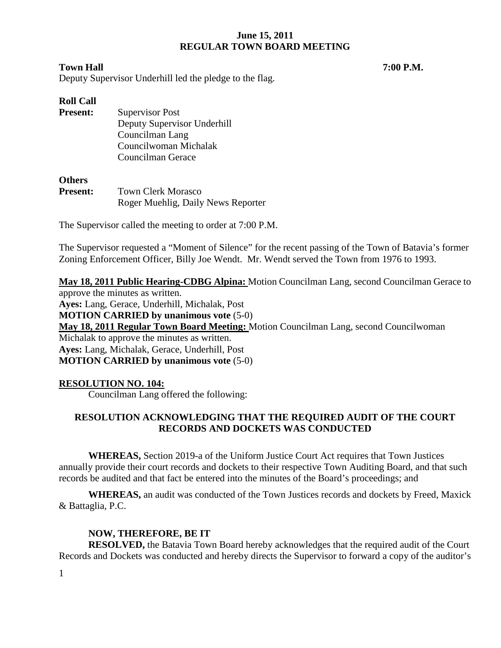#### **Town Hall 7:00 P.M.**

Deputy Supervisor Underhill led the pledge to the flag.

# **Roll Call**

**Present:** Supervisor Post Deputy Supervisor Underhill Councilman Lang Councilwoman Michalak Councilman Gerace

#### **Others**

| <b>Present:</b> | <b>Town Clerk Morasco</b>          |  |
|-----------------|------------------------------------|--|
|                 | Roger Muehlig, Daily News Reporter |  |

The Supervisor called the meeting to order at 7:00 P.M.

The Supervisor requested a "Moment of Silence" for the recent passing of the Town of Batavia's former Zoning Enforcement Officer, Billy Joe Wendt. Mr. Wendt served the Town from 1976 to 1993.

**May 18, 2011 Public Hearing-CDBG Alpina:** Motion Councilman Lang, second Councilman Gerace to approve the minutes as written. **Ayes:** Lang, Gerace, Underhill, Michalak, Post **MOTION CARRIED by unanimous vote** (5-0) **May 18, 2011 Regular Town Board Meeting:** Motion Councilman Lang, second Councilwoman Michalak to approve the minutes as written. **Ayes:** Lang, Michalak, Gerace, Underhill, Post **MOTION CARRIED by unanimous vote** (5-0)

# **RESOLUTION NO. 104:**

Councilman Lang offered the following:

# **RESOLUTION ACKNOWLEDGING THAT THE REQUIRED AUDIT OF THE COURT RECORDS AND DOCKETS WAS CONDUCTED**

**WHEREAS,** Section 2019-a of the Uniform Justice Court Act requires that Town Justices annually provide their court records and dockets to their respective Town Auditing Board, and that such records be audited and that fact be entered into the minutes of the Board's proceedings; and

**WHEREAS,** an audit was conducted of the Town Justices records and dockets by Freed, Maxick & Battaglia, P.C.

# **NOW, THEREFORE, BE IT**

**RESOLVED,** the Batavia Town Board hereby acknowledges that the required audit of the Court Records and Dockets was conducted and hereby directs the Supervisor to forward a copy of the auditor's

1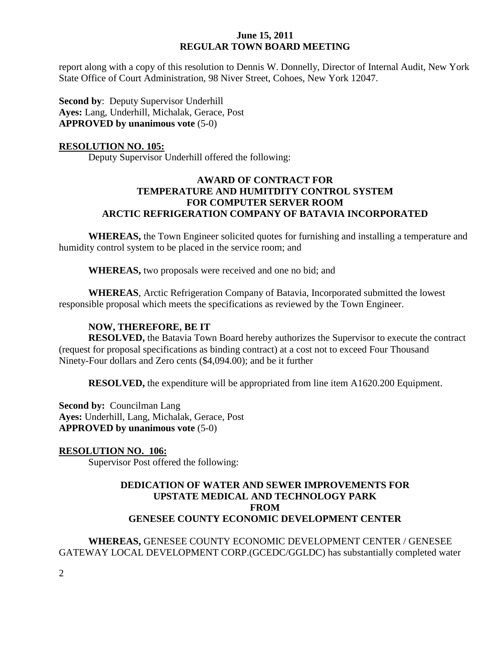report along with a copy of this resolution to Dennis W. Donnelly, Director of Internal Audit, New York State Office of Court Administration, 98 Niver Street, Cohoes, New York 12047.

**Second by**: Deputy Supervisor Underhill **Ayes:** Lang, Underhill, Michalak, Gerace, Post **APPROVED by unanimous vote** (5-0)

#### **RESOLUTION NO. 105:**

Deputy Supervisor Underhill offered the following:

# **AWARD OF CONTRACT FOR TEMPERATURE AND HUMITDITY CONTROL SYSTEM FOR COMPUTER SERVER ROOM ARCTIC REFRIGERATION COMPANY OF BATAVIA INCORPORATED**

**WHEREAS,** the Town Engineer solicited quotes for furnishing and installing a temperature and humidity control system to be placed in the service room; and

**WHEREAS,** two proposals were received and one no bid; and

**WHEREAS**, Arctic Refrigeration Company of Batavia, Incorporated submitted the lowest responsible proposal which meets the specifications as reviewed by the Town Engineer.

# **NOW, THEREFORE, BE IT**

**RESOLVED,** the Batavia Town Board hereby authorizes the Supervisor to execute the contract (request for proposal specifications as binding contract) at a cost not to exceed Four Thousand Ninety-Four dollars and Zero cents (\$4,094.00); and be it further

**RESOLVED,** the expenditure will be appropriated from line item A1620.200 Equipment.

**Second by: Councilman Lang Ayes:** Underhill, Lang, Michalak, Gerace, Post **APPROVED by unanimous vote** (5-0)

## **RESOLUTION NO. 106:**

Supervisor Post offered the following:

## **DEDICATION OF WATER AND SEWER IMPROVEMENTS FOR UPSTATE MEDICAL AND TECHNOLOGY PARK FROM GENESEE COUNTY ECONOMIC DEVELOPMENT CENTER**

**WHEREAS,** GENESEE COUNTY ECONOMIC DEVELOPMENT CENTER / GENESEE GATEWAY LOCAL DEVELOPMENT CORP.(GCEDC/GGLDC) has substantially completed water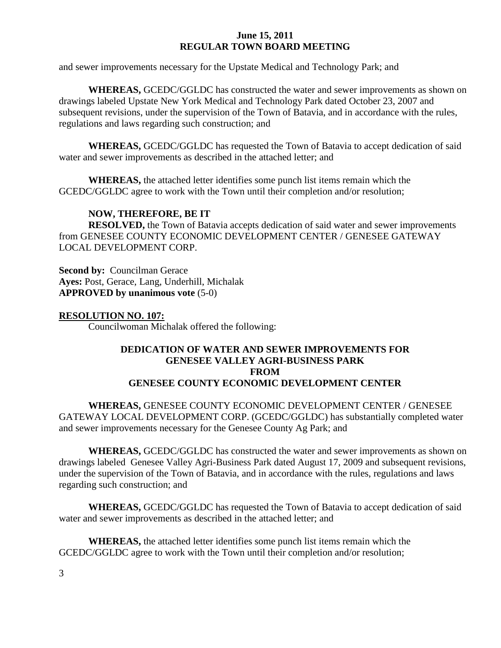and sewer improvements necessary for the Upstate Medical and Technology Park; and

**WHEREAS,** GCEDC/GGLDC has constructed the water and sewer improvements as shown on drawings labeled Upstate New York Medical and Technology Park dated October 23, 2007 and subsequent revisions, under the supervision of the Town of Batavia, and in accordance with the rules, regulations and laws regarding such construction; and

**WHEREAS,** GCEDC/GGLDC has requested the Town of Batavia to accept dedication of said water and sewer improvements as described in the attached letter; and

**WHEREAS,** the attached letter identifies some punch list items remain which the GCEDC/GGLDC agree to work with the Town until their completion and/or resolution;

#### **NOW, THEREFORE, BE IT**

**RESOLVED,** the Town of Batavia accepts dedication of said water and sewer improvements from GENESEE COUNTY ECONOMIC DEVELOPMENT CENTER / GENESEE GATEWAY LOCAL DEVELOPMENT CORP.

**Second by: Councilman Gerace Ayes:** Post, Gerace, Lang, Underhill, Michalak **APPROVED by unanimous vote** (5-0)

#### **RESOLUTION NO. 107:**

Councilwoman Michalak offered the following:

#### **DEDICATION OF WATER AND SEWER IMPROVEMENTS FOR GENESEE VALLEY AGRI-BUSINESS PARK FROM GENESEE COUNTY ECONOMIC DEVELOPMENT CENTER**

**WHEREAS,** GENESEE COUNTY ECONOMIC DEVELOPMENT CENTER / GENESEE GATEWAY LOCAL DEVELOPMENT CORP. (GCEDC/GGLDC) has substantially completed water and sewer improvements necessary for the Genesee County Ag Park; and

**WHEREAS,** GCEDC/GGLDC has constructed the water and sewer improvements as shown on drawings labeled Genesee Valley Agri-Business Park dated August 17, 2009 and subsequent revisions, under the supervision of the Town of Batavia, and in accordance with the rules, regulations and laws regarding such construction; and

**WHEREAS,** GCEDC/GGLDC has requested the Town of Batavia to accept dedication of said water and sewer improvements as described in the attached letter; and

**WHEREAS,** the attached letter identifies some punch list items remain which the GCEDC/GGLDC agree to work with the Town until their completion and/or resolution;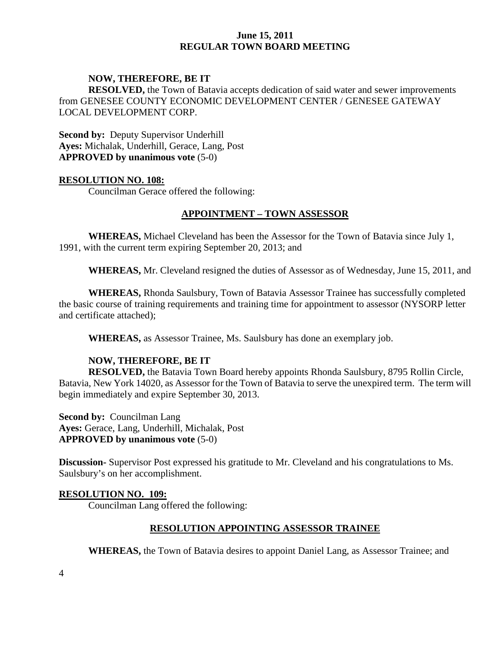#### **NOW, THEREFORE, BE IT**

**RESOLVED,** the Town of Batavia accepts dedication of said water and sewer improvements from GENESEE COUNTY ECONOMIC DEVELOPMENT CENTER / GENESEE GATEWAY LOCAL DEVELOPMENT CORP.

**Second by: Deputy Supervisor Underhill Ayes:** Michalak, Underhill, Gerace, Lang, Post **APPROVED by unanimous vote** (5-0)

#### **RESOLUTION NO. 108:**

Councilman Gerace offered the following:

## **APPOINTMENT – TOWN ASSESSOR**

**WHEREAS,** Michael Cleveland has been the Assessor for the Town of Batavia since July 1, 1991, with the current term expiring September 20, 2013; and

**WHEREAS,** Mr. Cleveland resigned the duties of Assessor as of Wednesday, June 15, 2011, and

**WHEREAS,** Rhonda Saulsbury, Town of Batavia Assessor Trainee has successfully completed the basic course of training requirements and training time for appointment to assessor (NYSORP letter and certificate attached);

**WHEREAS,** as Assessor Trainee, Ms. Saulsbury has done an exemplary job.

## **NOW, THEREFORE, BE IT**

**RESOLVED,** the Batavia Town Board hereby appoints Rhonda Saulsbury, 8795 Rollin Circle, Batavia, New York 14020, as Assessor for the Town of Batavia to serve the unexpired term. The term will begin immediately and expire September 30, 2013.

**Second by: Councilman Lang Ayes:** Gerace, Lang, Underhill, Michalak, Post **APPROVED by unanimous vote** (5-0)

**Discussion-** Supervisor Post expressed his gratitude to Mr. Cleveland and his congratulations to Ms. Saulsbury's on her accomplishment.

#### **RESOLUTION NO. 109:**

Councilman Lang offered the following:

## **RESOLUTION APPOINTING ASSESSOR TRAINEE**

**WHEREAS,** the Town of Batavia desires to appoint Daniel Lang, as Assessor Trainee; and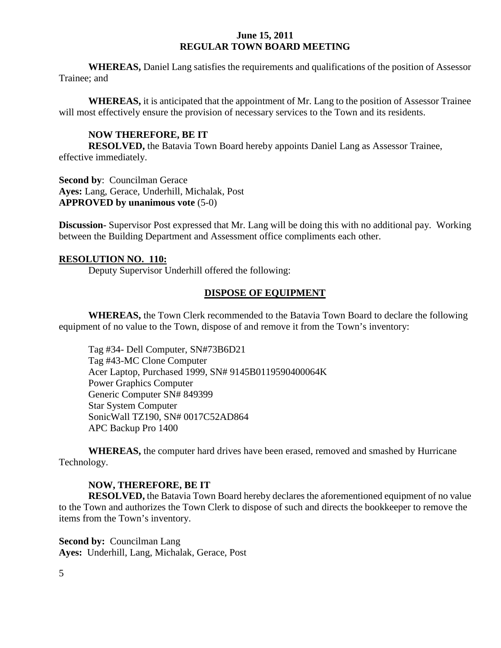**WHEREAS,** Daniel Lang satisfies the requirements and qualifications of the position of Assessor Trainee; and

**WHEREAS,** it is anticipated that the appointment of Mr. Lang to the position of Assessor Trainee will most effectively ensure the provision of necessary services to the Town and its residents.

# **NOW THEREFORE, BE IT**

**RESOLVED,** the Batavia Town Board hereby appoints Daniel Lang as Assessor Trainee, effective immediately.

**Second by: Councilman Gerace Ayes:** Lang, Gerace, Underhill, Michalak, Post **APPROVED by unanimous vote** (5-0)

**Discussion-** Supervisor Post expressed that Mr. Lang will be doing this with no additional pay. Working between the Building Department and Assessment office compliments each other.

#### **RESOLUTION NO. 110:**

Deputy Supervisor Underhill offered the following:

## **DISPOSE OF EQUIPMENT**

**WHEREAS,** the Town Clerk recommended to the Batavia Town Board to declare the following equipment of no value to the Town, dispose of and remove it from the Town's inventory:

Tag #34- Dell Computer, SN#73B6D21 Tag #43-MC Clone Computer Acer Laptop, Purchased 1999, SN# 9145B0119590400064K Power Graphics Computer Generic Computer SN# 849399 Star System Computer SonicWall TZ190, SN# 0017C52AD864 APC Backup Pro 1400

**WHEREAS,** the computer hard drives have been erased, removed and smashed by Hurricane Technology.

#### **NOW, THEREFORE, BE IT**

**RESOLVED,** the Batavia Town Board hereby declares the aforementioned equipment of no value to the Town and authorizes the Town Clerk to dispose of such and directs the bookkeeper to remove the items from the Town's inventory.

**Second by:** Councilman Lang **Ayes:** Underhill, Lang, Michalak, Gerace, Post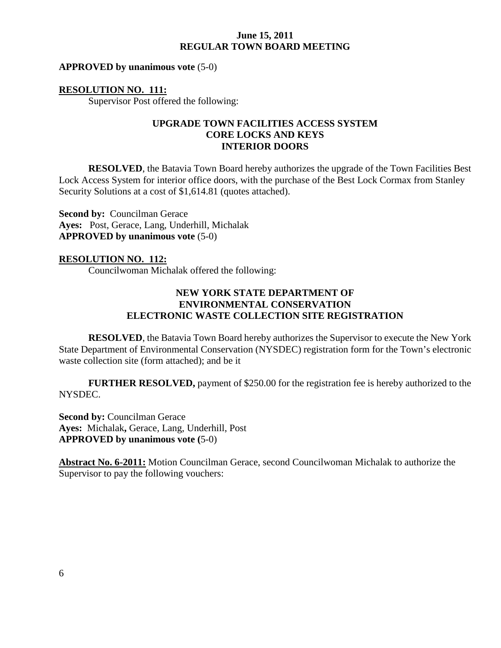#### **APPROVED by unanimous vote** (5-0)

#### **RESOLUTION NO. 111:**

Supervisor Post offered the following:

# **UPGRADE TOWN FACILITIES ACCESS SYSTEM CORE LOCKS AND KEYS INTERIOR DOORS**

**RESOLVED**, the Batavia Town Board hereby authorizes the upgrade of the Town Facilities Best Lock Access System for interior office doors, with the purchase of the Best Lock Cormax from Stanley Security Solutions at a cost of \$1,614.81 (quotes attached).

**Second by:** Councilman Gerace **Ayes:** Post, Gerace, Lang, Underhill, Michalak **APPROVED by unanimous vote** (5-0)

#### **RESOLUTION NO. 112:**

Councilwoman Michalak offered the following:

# **NEW YORK STATE DEPARTMENT OF ENVIRONMENTAL CONSERVATION ELECTRONIC WASTE COLLECTION SITE REGISTRATION**

**RESOLVED**, the Batavia Town Board hereby authorizes the Supervisor to execute the New York State Department of Environmental Conservation (NYSDEC) registration form for the Town's electronic waste collection site (form attached); and be it

**FURTHER RESOLVED,** payment of \$250.00 for the registration fee is hereby authorized to the NYSDEC.

**Second by: Councilman Gerace Ayes:** Michalak**,** Gerace, Lang, Underhill, Post **APPROVED by unanimous vote (**5-0)

**Abstract No. 6-2011:** Motion Councilman Gerace, second Councilwoman Michalak to authorize the Supervisor to pay the following vouchers: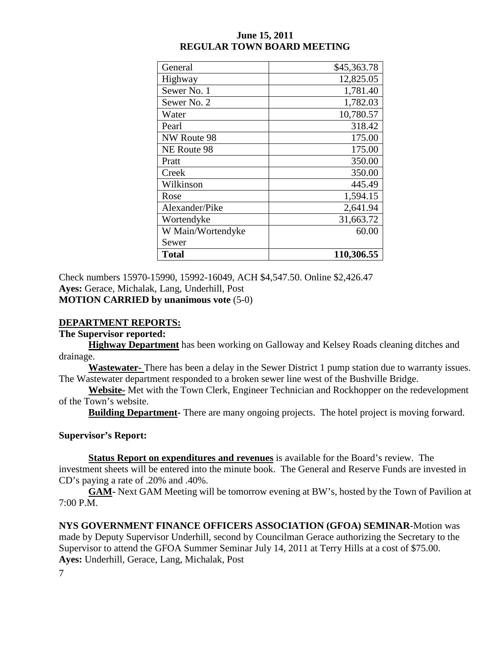| General           | \$45,363.78 |
|-------------------|-------------|
| Highway           | 12,825.05   |
| Sewer No. 1       | 1,781.40    |
| Sewer No. 2       | 1,782.03    |
| Water             | 10,780.57   |
| Pearl             | 318.42      |
| NW Route 98       | 175.00      |
| NE Route 98       | 175.00      |
| Pratt             | 350.00      |
| Creek             | 350.00      |
| Wilkinson         | 445.49      |
| Rose              | 1,594.15    |
| Alexander/Pike    | 2,641.94    |
| Wortendyke        | 31,663.72   |
| W Main/Wortendyke | 60.00       |
| Sewer             |             |
| <b>Total</b>      | 110,306.55  |

Check numbers 15970-15990, 15992-16049, ACH \$4,547.50. Online \$2,426.47 **Ayes:** Gerace, Michalak, Lang, Underhill, Post **MOTION CARRIED by unanimous vote** (5-0)

# **DEPARTMENT REPORTS:**

**The Supervisor reported:**

**Highway Department** has been working on Galloway and Kelsey Roads cleaning ditches and drainage.

**Wastewater-** There has been a delay in the Sewer District 1 pump station due to warranty issues. The Wastewater department responded to a broken sewer line west of the Bushville Bridge.

**Website-** Met with the Town Clerk, Engineer Technician and Rockhopper on the redevelopment of the Town's website.

**Building Department-** There are many ongoing projects. The hotel project is moving forward.

## **Supervisor's Report:**

**Status Report on expenditures and revenues** is available for the Board's review. The investment sheets will be entered into the minute book. The General and Reserve Funds are invested in CD's paying a rate of .20% and .40%.

**GAM-** Next GAM Meeting will be tomorrow evening at BW's, hosted by the Town of Pavilion at 7:00 P.M.

**NYS GOVERNMENT FINANCE OFFICERS ASSOCIATION (GFOA) SEMINAR**-Motion was made by Deputy Supervisor Underhill, second by Councilman Gerace authorizing the Secretary to the Supervisor to attend the GFOA Summer Seminar July 14, 2011 at Terry Hills at a cost of \$75.00. **Ayes:** Underhill, Gerace, Lang, Michalak, Post

7